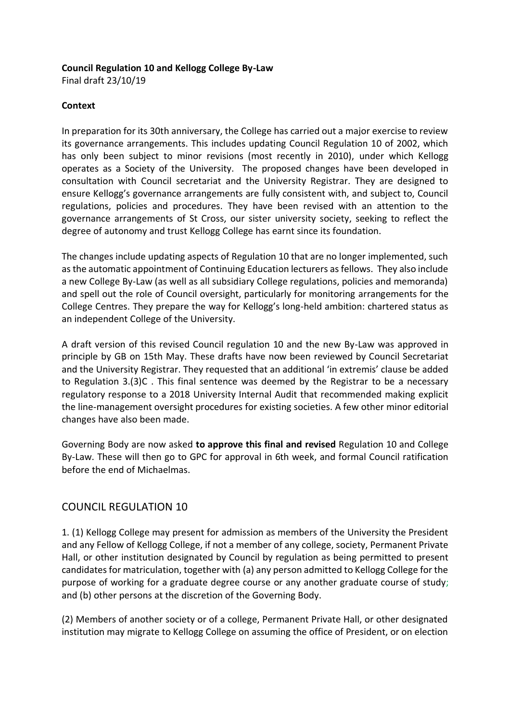#### **Council Regulation 10 and Kellogg College By-Law**

Final draft 23/10/19

#### **Context**

In preparation for its 30th anniversary, the College has carried out a major exercise to review its governance arrangements. This includes updating Council Regulation 10 of 2002, which has only been subject to minor revisions (most recently in 2010), under which Kellogg operates as a Society of the University. The proposed changes have been developed in consultation with Council secretariat and the University Registrar. They are designed to ensure Kellogg's governance arrangements are fully consistent with, and subject to, Council regulations, policies and procedures. They have been revised with an attention to the governance arrangements of St Cross, our sister university society, seeking to reflect the degree of autonomy and trust Kellogg College has earnt since its foundation.

The changes include updating aspects of Regulation 10 that are no longer implemented, such as the automatic appointment of Continuing Education lecturers as fellows. They also include a new College By-Law (as well as all subsidiary College regulations, policies and memoranda) and spell out the role of Council oversight, particularly for monitoring arrangements for the College Centres. They prepare the way for Kellogg's long-held ambition: chartered status as an independent College of the University.

A draft version of this revised Council regulation 10 and the new By-Law was approved in principle by GB on 15th May. These drafts have now been reviewed by Council Secretariat and the University Registrar. They requested that an additional 'in extremis' clause be added to Regulation 3.(3)C . This final sentence was deemed by the Registrar to be a necessary regulatory response to a 2018 University Internal Audit that recommended making explicit the line-management oversight procedures for existing societies. A few other minor editorial changes have also been made.

Governing Body are now asked **to approve this final and revised** Regulation 10 and College By-Law. These will then go to GPC for approval in 6th week, and formal Council ratification before the end of Michaelmas.

# COUNCIL REGULATION 10

1. (1) Kellogg College may present for admission as members of the University the President and any Fellow of Kellogg College, if not a member of any college, society, Permanent Private Hall, or other institution designated by Council by regulation as being permitted to present candidates for matriculation, together with (a) any person admitted to Kellogg College for the purpose of working for a graduate degree course or any another graduate course of study; and (b) other persons at the discretion of the Governing Body.

(2) Members of another society or of a college, Permanent Private Hall, or other designated institution may migrate to Kellogg College on assuming the office of President, or on election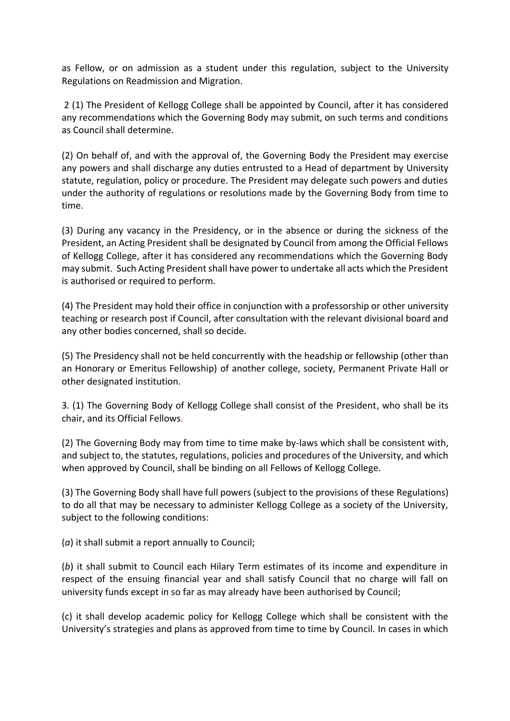as Fellow, or on admission as a student under this regulation, subject to the University Regulations on Readmission and Migration.

2 (1) The President of Kellogg College shall be appointed by Council, after it has considered any recommendations which the Governing Body may submit, on such terms and conditions as Council shall determine.

(2) On behalf of, and with the approval of, the Governing Body the President may exercise any powers and shall discharge any duties entrusted to a Head of department by University statute, regulation, policy or procedure. The President may delegate such powers and duties under the authority of regulations or resolutions made by the Governing Body from time to time.

(3) During any vacancy in the Presidency, or in the absence or during the sickness of the President, an Acting President shall be designated by Council from among the Official Fellows of Kellogg College, after it has considered any recommendations which the Governing Body may submit. Such Acting President shall have power to undertake all acts which the President is authorised or required to perform.

(4) The President may hold their office in conjunction with a professorship or other university teaching or research post if Council, after consultation with the relevant divisional board and any other bodies concerned, shall so decide.

(5) The Presidency shall not be held concurrently with the headship or fellowship (other than an Honorary or Emeritus Fellowship) of another college, society, Permanent Private Hall or other designated institution.

3. (1) The Governing Body of Kellogg College shall consist of the President, who shall be its chair, and its Official Fellows.

(2) The Governing Body may from time to time make by-laws which shall be consistent with, and subject to, the statutes, regulations, policies and procedures of the University, and which when approved by Council, shall be binding on all Fellows of Kellogg College.

(3) The Governing Body shall have full powers (subject to the provisions of these Regulations) to do all that may be necessary to administer Kellogg College as a society of the University, subject to the following conditions:

(*a*) it shall submit a report annually to Council;

(*b*) it shall submit to Council each Hilary Term estimates of its income and expenditure in respect of the ensuing financial year and shall satisfy Council that no charge will fall on university funds except in so far as may already have been authorised by Council;

(c) it shall develop academic policy for Kellogg College which shall be consistent with the University's strategies and plans as approved from time to time by Council. In cases in which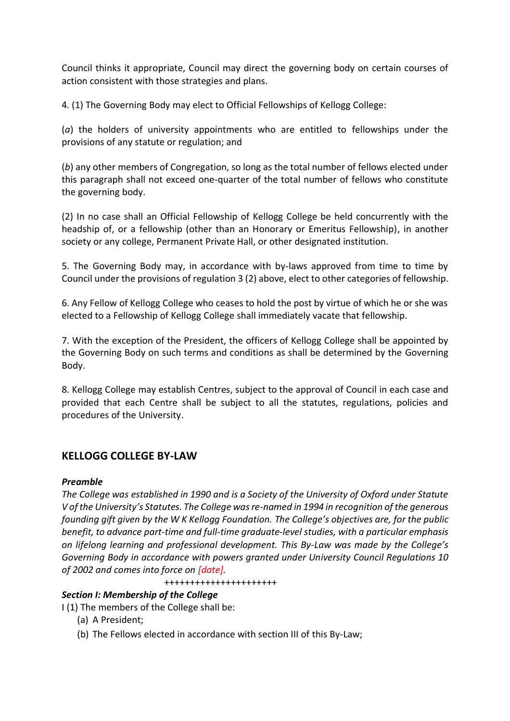Council thinks it appropriate, Council may direct the governing body on certain courses of action consistent with those strategies and plans.

4. (1) The Governing Body may elect to Official Fellowships of Kellogg College:

(*a*) the holders of university appointments who are entitled to fellowships under the provisions of any statute or regulation; and

(*b*) any other members of Congregation, so long as the total number of fellows elected under this paragraph shall not exceed one-quarter of the total number of fellows who constitute the governing body.

(2) In no case shall an Official Fellowship of Kellogg College be held concurrently with the headship of, or a fellowship (other than an Honorary or Emeritus Fellowship), in another society or any college, Permanent Private Hall, or other designated institution.

5. The Governing Body may, in accordance with by-laws approved from time to time by Council under the provisions of regulation 3 (2) above, elect to other categories of fellowship.

6. Any Fellow of Kellogg College who ceases to hold the post by virtue of which he or she was elected to a Fellowship of Kellogg College shall immediately vacate that fellowship.

7. With the exception of the President, the officers of Kellogg College shall be appointed by the Governing Body on such terms and conditions as shall be determined by the Governing Body.

8. Kellogg College may establish Centres, subject to the approval of Council in each case and provided that each Centre shall be subject to all the statutes, regulations, policies and procedures of the University.

# **KELLOGG COLLEGE BY-LAW**

## *Preamble*

*The College was established in 1990 and is a Society of the University of Oxford under Statute V of the University's Statutes. The College was re-named in 1994 in recognition of the generous founding gift given by the W K Kellogg Foundation. The College's objectives are, for the public benefit, to advance part-time and full-time graduate-level studies, with a particular emphasis on lifelong learning and professional development. This By-Law was made by the College's Governing Body in accordance with powers granted under University Council Regulations 10 of 2002 and comes into force on [date].*

++++++++++++++++++++++

## *Section I: Membership of the College*

I (1) The members of the College shall be:

- (a) A President;
- (b) The Fellows elected in accordance with section III of this By-Law;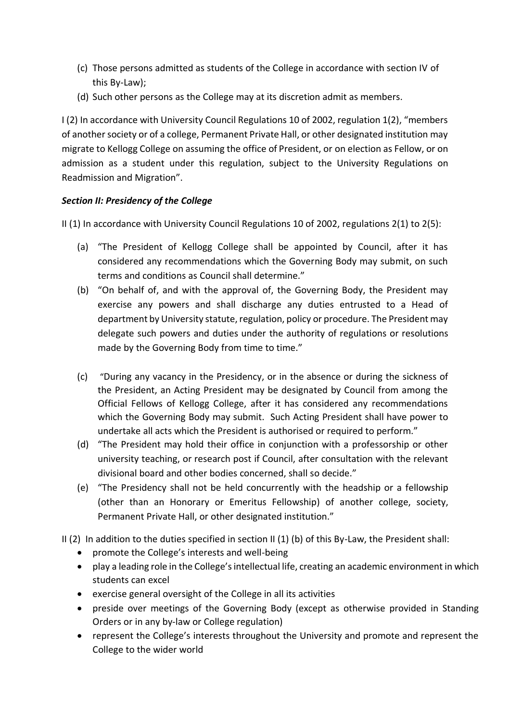- (c) Those persons admitted as students of the College in accordance with section IV of this By-Law);
- (d) Such other persons as the College may at its discretion admit as members.

I (2) In accordance with University Council Regulations 10 of 2002, regulation 1(2), "members of another society or of a college, Permanent Private Hall, or other designated institution may migrate to Kellogg College on assuming the office of President, or on election as Fellow, or on admission as a student under this regulation, subject to the University Regulations on Readmission and Migration".

# *Section II: Presidency of the College*

II (1) In accordance with University Council Regulations 10 of 2002, regulations 2(1) to 2(5):

- (a) "The President of Kellogg College shall be appointed by Council, after it has considered any recommendations which the Governing Body may submit, on such terms and conditions as Council shall determine."
- (b) "On behalf of, and with the approval of, the Governing Body, the President may exercise any powers and shall discharge any duties entrusted to a Head of department by University statute, regulation, policy or procedure. The President may delegate such powers and duties under the authority of regulations or resolutions made by the Governing Body from time to time."
- (c) "During any vacancy in the Presidency, or in the absence or during the sickness of the President, an Acting President may be designated by Council from among the Official Fellows of Kellogg College, after it has considered any recommendations which the Governing Body may submit. Such Acting President shall have power to undertake all acts which the President is authorised or required to perform."
- (d) "The President may hold their office in conjunction with a professorship or other university teaching, or research post if Council, after consultation with the relevant divisional board and other bodies concerned, shall so decide."
- (e) "The Presidency shall not be held concurrently with the headship or a fellowship (other than an Honorary or Emeritus Fellowship) of another college, society, Permanent Private Hall, or other designated institution."
- II (2) In addition to the duties specified in section II (1) (b) of this By-Law, the President shall:
	- promote the College's interests and well-being
	- play a leading role in the College's intellectual life, creating an academic environment in which students can excel
	- exercise general oversight of the College in all its activities
	- preside over meetings of the Governing Body (except as otherwise provided in Standing Orders or in any by-law or College regulation)
	- represent the College's interests throughout the University and promote and represent the College to the wider world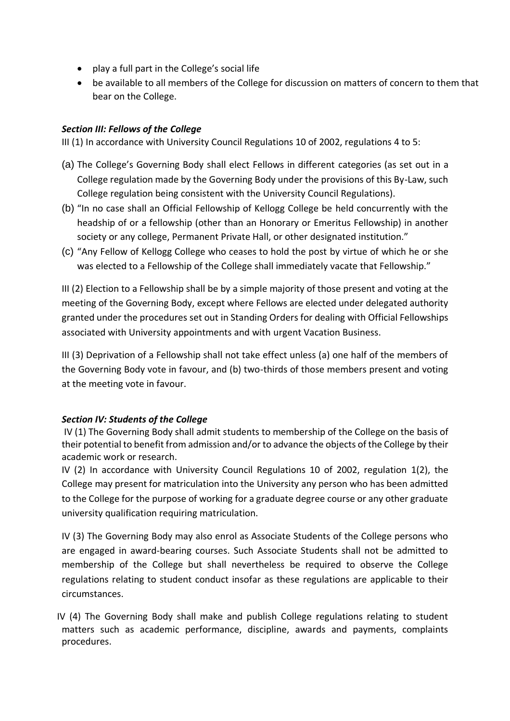- play a full part in the College's social life
- be available to all members of the College for discussion on matters of concern to them that bear on the College.

#### *Section III: Fellows of the College*

III (1) In accordance with University Council Regulations 10 of 2002, regulations 4 to 5:

- (a) The College's Governing Body shall elect Fellows in different categories (as set out in a College regulation made by the Governing Body under the provisions of this By-Law, such College regulation being consistent with the University Council Regulations).
- (b) "In no case shall an Official Fellowship of Kellogg College be held concurrently with the headship of or a fellowship (other than an Honorary or Emeritus Fellowship) in another society or any college, Permanent Private Hall, or other designated institution."
- (c) "Any Fellow of Kellogg College who ceases to hold the post by virtue of which he or she was elected to a Fellowship of the College shall immediately vacate that Fellowship."

III (2) Election to a Fellowship shall be by a simple majority of those present and voting at the meeting of the Governing Body, except where Fellows are elected under delegated authority granted under the procedures set out in Standing Orders for dealing with Official Fellowships associated with University appointments and with urgent Vacation Business.

III (3) Deprivation of a Fellowship shall not take effect unless (a) one half of the members of the Governing Body vote in favour, and (b) two-thirds of those members present and voting at the meeting vote in favour.

## *Section IV: Students of the College*

IV (1) The Governing Body shall admit students to membership of the College on the basis of their potential to benefit from admission and/or to advance the objects of the College by their academic work or research.

IV (2) In accordance with University Council Regulations 10 of 2002, regulation 1(2), the College may present for matriculation into the University any person who has been admitted to the College for the purpose of working for a graduate degree course or any other graduate university qualification requiring matriculation.

IV (3) The Governing Body may also enrol as Associate Students of the College persons who are engaged in award-bearing courses. Such Associate Students shall not be admitted to membership of the College but shall nevertheless be required to observe the College regulations relating to student conduct insofar as these regulations are applicable to their circumstances.

 IV (4) The Governing Body shall make and publish College regulations relating to student matters such as academic performance, discipline, awards and payments, complaints procedures.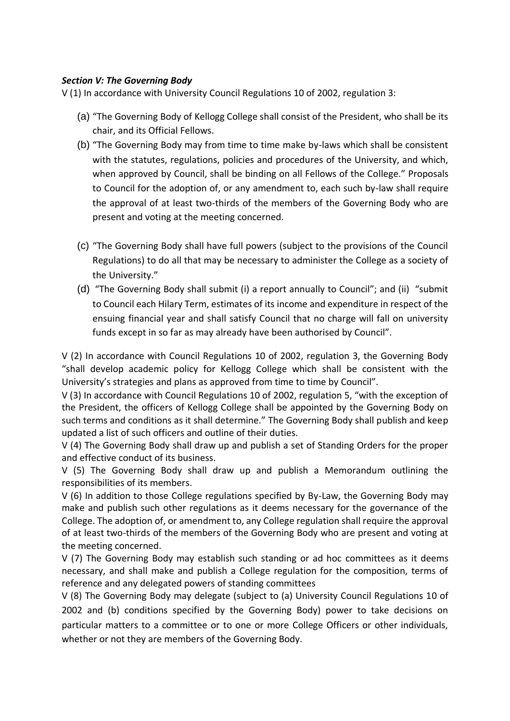#### *Section V: The Governing Body*

V (1) In accordance with University Council Regulations 10 of 2002, regulation 3:

- (a) "The Governing Body of Kellogg College shall consist of the President, who shall be its chair, and its Official Fellows.
- (b) "The Governing Body may from time to time make by-laws which shall be consistent with the statutes, regulations, policies and procedures of the University, and which, when approved by Council, shall be binding on all Fellows of the College." Proposals to Council for the adoption of, or any amendment to, each such by-law shall require the approval of at least two-thirds of the members of the Governing Body who are present and voting at the meeting concerned.
- (c) "The Governing Body shall have full powers (subject to the provisions of the Council Regulations) to do all that may be necessary to administer the College as a society of the University."
- (d) "The Governing Body shall submit (i) a report annually to Council"; and (ii) "submit to Council each Hilary Term, estimates of its income and expenditure in respect of the ensuing financial year and shall satisfy Council that no charge will fall on university funds except in so far as may already have been authorised by Council".

V (2) In accordance with Council Regulations 10 of 2002, regulation 3, the Governing Body "shall develop academic policy for Kellogg College which shall be consistent with the University's strategies and plans as approved from time to time by Council".

V (3) In accordance with Council Regulations 10 of 2002, regulation 5, "with the exception of the President, the officers of Kellogg College shall be appointed by the Governing Body on such terms and conditions as it shall determine." The Governing Body shall publish and keep updated a list of such officers and outline of their duties.

V (4) The Governing Body shall draw up and publish a set of Standing Orders for the proper and effective conduct of its business.

V (5) The Governing Body shall draw up and publish a Memorandum outlining the responsibilities of its members.

V (6) In addition to those College regulations specified by By-Law, the Governing Body may make and publish such other regulations as it deems necessary for the governance of the College. The adoption of, or amendment to, any College regulation shall require the approval of at least two-thirds of the members of the Governing Body who are present and voting at the meeting concerned.

V (7) The Governing Body may establish such standing or ad hoc committees as it deems necessary, and shall make and publish a College regulation for the composition, terms of reference and any delegated powers of standing committees

V (8) The Governing Body may delegate (subject to (a) University Council Regulations 10 of 2002 and (b) conditions specified by the Governing Body) power to take decisions on particular matters to a committee or to one or more College Officers or other individuals, whether or not they are members of the Governing Body.